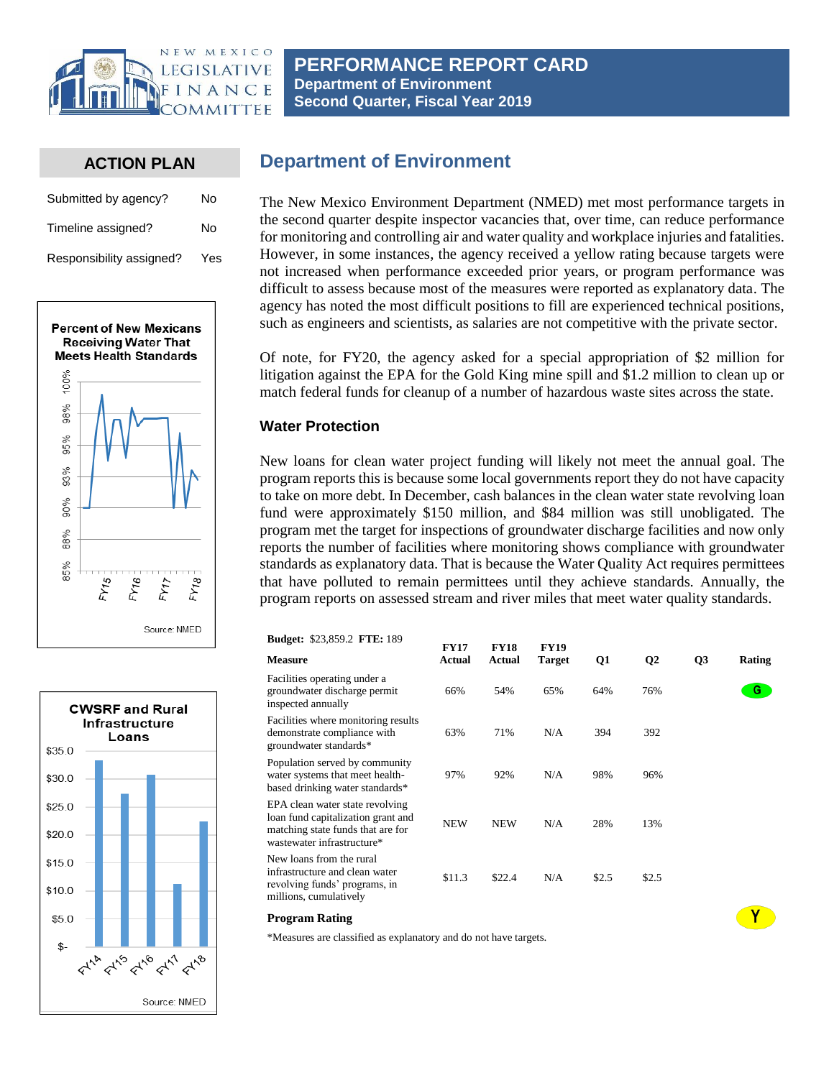

**PERFORMANCE REPORT CARD Department of Environment Second Quarter, Fiscal Year 2019**

## **ACTION PLAN**

| Submitted by agency?     | No   |
|--------------------------|------|
| Timeline assigned?       | No   |
| Responsibility assigned? | Yes. |





# **Department of Environment**

The New Mexico Environment Department (NMED) met most performance targets in the second quarter despite inspector vacancies that, over time, can reduce performance for monitoring and controlling air and water quality and workplace injuries and fatalities. However, in some instances, the agency received a yellow rating because targets were not increased when performance exceeded prior years, or program performance was difficult to assess because most of the measures were reported as explanatory data. The agency has noted the most difficult positions to fill are experienced technical positions, such as engineers and scientists, as salaries are not competitive with the private sector.

Of note, for FY20, the agency asked for a special appropriation of \$2 million for litigation against the EPA for the Gold King mine spill and \$1.2 million to clean up or match federal funds for cleanup of a number of hazardous waste sites across the state.

### **Water Protection**

New loans for clean water project funding will likely not meet the annual goal. The program reports this is because some local governments report they do not have capacity to take on more debt. In December, cash balances in the clean water state revolving loan fund were approximately \$150 million, and \$84 million was still unobligated. The program met the target for inspections of groundwater discharge facilities and now only reports the number of facilities where monitoring shows compliance with groundwater standards as explanatory data. That is because the Water Quality Act requires permittees that have polluted to remain permittees until they achieve standards. Annually, the program reports on assessed stream and river miles that meet water quality standards.

| <b>Budget: \$23,859.2 FTE: 189</b>                                                                                                       | <b>FY17</b> | <b>FY18</b> | <b>FY19</b>   |           |              |                |        |
|------------------------------------------------------------------------------------------------------------------------------------------|-------------|-------------|---------------|-----------|--------------|----------------|--------|
| <b>Measure</b>                                                                                                                           | Actual      | Actual      | <b>Target</b> | <b>Q1</b> | $\mathbf{Q}$ | Q <sub>3</sub> | Rating |
| Facilities operating under a<br>groundwater discharge permit<br>inspected annually                                                       | 66%         | 54%         | 65%           | 64%       | 76%          |                | G.     |
| Facilities where monitoring results<br>demonstrate compliance with<br>groundwater standards*                                             | 63%         | 71%         | N/A           | 394       | 392          |                |        |
| Population served by community<br>water systems that meet health-<br>based drinking water standards*                                     | 97%         | 92%         | N/A           | 98%       | 96%          |                |        |
| EPA clean water state revolving<br>loan fund capitalization grant and<br>matching state funds that are for<br>wastewater infrastructure* | <b>NEW</b>  | <b>NEW</b>  | N/A           | 28%       | 13%          |                |        |
| New loans from the rural<br>infrastructure and clean water<br>revolving funds' programs, in<br>millions, cumulatively                    | \$11.3      | \$22.4      | N/A           | \$2.5     | \$2.5        |                |        |

 $\mathbf{Y}$ 

#### **Program Rating**

\*Measures are classified as explanatory and do not have targets.